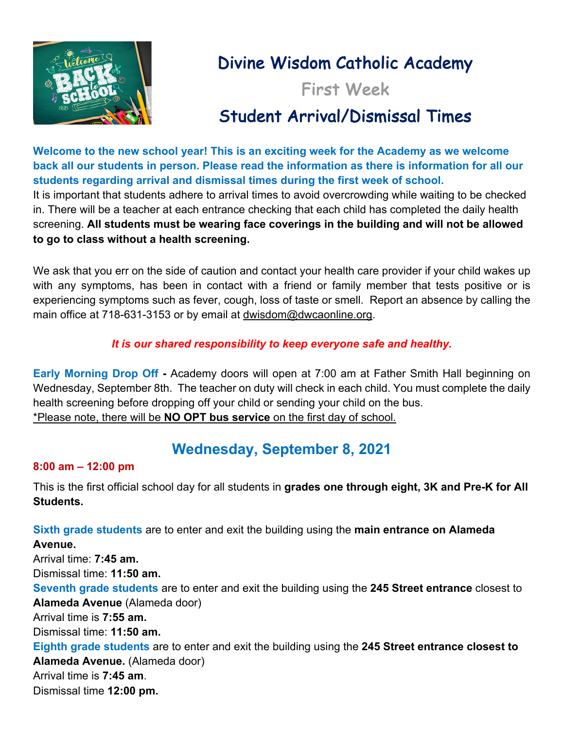

# Divine Wisdom Catholic Academy

First Week

# Student Arrival/Dismissal Times

**Welcome to the new school year! This is an exciting week for the Academy as we welcome back all our students in person. Please read the information as there is information for all our students regarding arrival and dismissal times during the first week of school.** 

It is important that students adhere to arrival times to avoid overcrowding while waiting to be checked in. There will be a teacher at each entrance checking that each child has completed the daily health screening. **All students must be wearing face coverings in the building and will not be allowed to go to class without a health screening.**

We ask that you err on the side of caution and contact your health care provider if your child wakes up with any symptoms, has been in contact with a friend or family member that tests positive or is experiencing symptoms such as fever, cough, loss of taste or smell. Report an absence by calling the main office at 718-631-3153 or by email at dwisdom@dwcaonline.org.

### *It is our shared responsibility to keep everyone safe and healthy.*

**Early Morning Drop Off -** Academy doors will open at 7:00 am at Father Smith Hall beginning on Wednesday, September 8th. The teacher on duty will check in each child. You must complete the daily health screening before dropping off your child or sending your child on the bus. \*Please note, there will be **NO OPT bus service** on the first day of school.

### **Wednesday, September 8, 2021**

#### **8:00 am – 12:00 pm**

This is the first official school day for all students in **grades one through eight, 3K and Pre-K for All Students.** 

**Sixth grade students** are to enter and exit the building using the **main entrance on Alameda Avenue.**  Arrival time: **7:45 am.** Dismissal time: **11:50 am. Seventh grade students** are to enter and exit the building using the **245 Street entrance** closest to **Alameda Avenue** (Alameda door) Arrival time is **7:55 am.** Dismissal time: **11:50 am. Eighth grade students** are to enter and exit the building using the **245 Street entrance closest to Alameda Avenue.** (Alameda door) Arrival time is **7:45 am**. Dismissal time **12:00 pm.**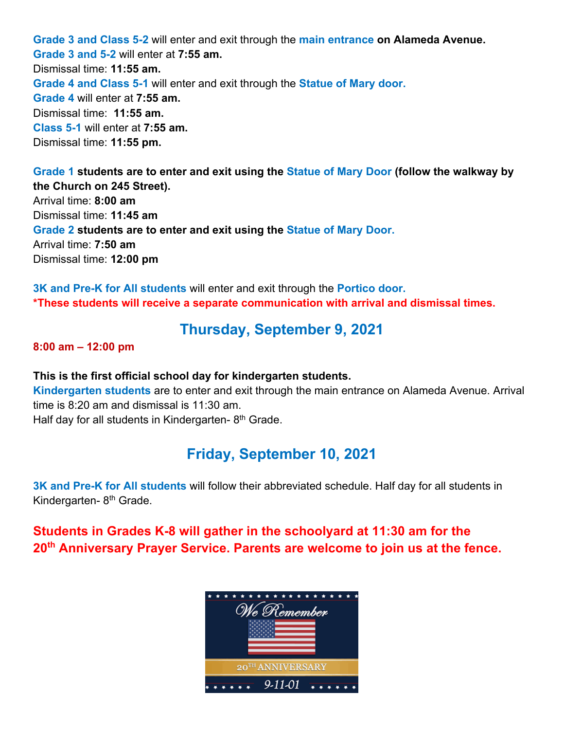**Grade 3 and Class 5-2** will enter and exit through the **main entrance on Alameda Avenue. Grade 3 and 5-2** will enter at **7:55 am.** Dismissal time: **11:55 am. Grade 4 and Class 5-1** will enter and exit through the **Statue of Mary door. Grade 4** will enter at **7:55 am.** Dismissal time: **11:55 am. Class 5-1** will enter at **7:55 am.** Dismissal time: **11:55 pm.**

**Grade 1 students are to enter and exit using the Statue of Mary Door (follow the walkway by the Church on 245 Street).** Arrival time: **8:00 am** Dismissal time: **11:45 am Grade 2 students are to enter and exit using the Statue of Mary Door.** Arrival time: **7:50 am** Dismissal time: **12:00 pm**

**3K and Pre-K for All students** will enter and exit through the **Portico door. \*These students will receive a separate communication with arrival and dismissal times.** 

### **Thursday, September 9, 2021**

**8:00 am – 12:00 pm** 

#### **This is the first official school day for kindergarten students.**

**Kindergarten students** are to enter and exit through the main entrance on Alameda Avenue. Arrival time is 8:20 am and dismissal is 11:30 am.

Half day for all students in Kindergarten- $8<sup>th</sup>$  Grade.

### **Friday, September 10, 2021**

**3K and Pre-K for All students** will follow their abbreviated schedule. Half day for all students in Kindergarten- 8<sup>th</sup> Grade.

**Students in Grades K-8 will gather in the schoolyard at 11:30 am for the 20th Anniversary Prayer Service. Parents are welcome to join us at the fence.** 

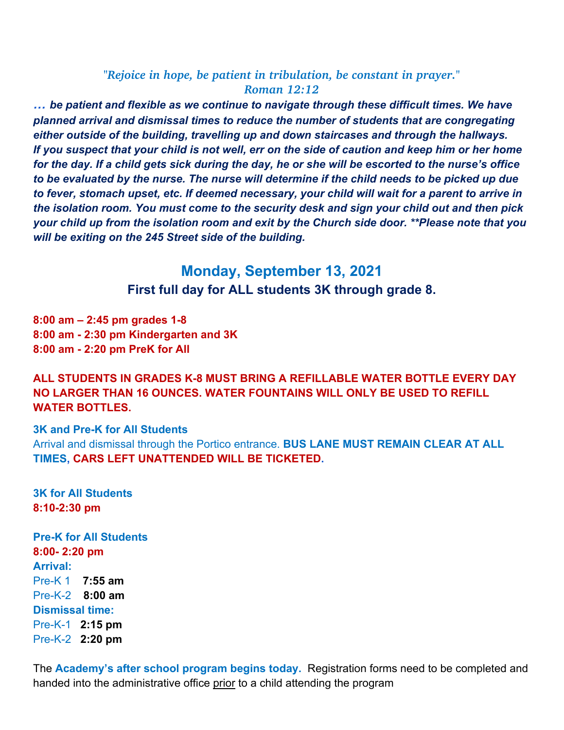#### *"Rejoice in hope, be patient in tribulation, be constant in prayer." Roman 12:12*

*… be patient and flexible as we continue to navigate through these difficult times. We have planned arrival and dismissal times to reduce the number of students that are congregating either outside of the building, travelling up and down staircases and through the hallways. If you suspect that your child is not well, err on the side of caution and keep him or her home for the day. If a child gets sick during the day, he or she will be escorted to the nurse's office to be evaluated by the nurse. The nurse will determine if the child needs to be picked up due to fever, stomach upset, etc. If deemed necessary, your child will wait for a parent to arrive in the isolation room. You must come to the security desk and sign your child out and then pick your child up from the isolation room and exit by the Church side door. \*\*Please note that you will be exiting on the 245 Street side of the building.* 

> **Monday, September 13, 2021 First full day for ALL students 3K through grade 8.**

**8:00 am – 2:45 pm grades 1-8 8:00 am - 2:30 pm Kindergarten and 3K 8:00 am - 2:20 pm PreK for All**

#### **ALL STUDENTS IN GRADES K-8 MUST BRING A REFILLABLE WATER BOTTLE EVERY DAY NO LARGER THAN 16 OUNCES. WATER FOUNTAINS WILL ONLY BE USED TO REFILL WATER BOTTLES.**

#### **3K and Pre-K for All Students**

Arrival and dismissal through the Portico entrance. **BUS LANE MUST REMAIN CLEAR AT ALL TIMES, CARS LEFT UNATTENDED WILL BE TICKETED.** 

**3K for All Students 8:10-2:30 pm**

**Pre-K for All Students 8:00- 2:20 pm Arrival:** Pre-K 1 **7:55 am** Pre-K-2 **8:00 am Dismissal time:** Pre-K-1 **2:15 pm** Pre-K-2 **2:20 pm**

The **Academy's after school program begins today.** Registration forms need to be completed and handed into the administrative office prior to a child attending the program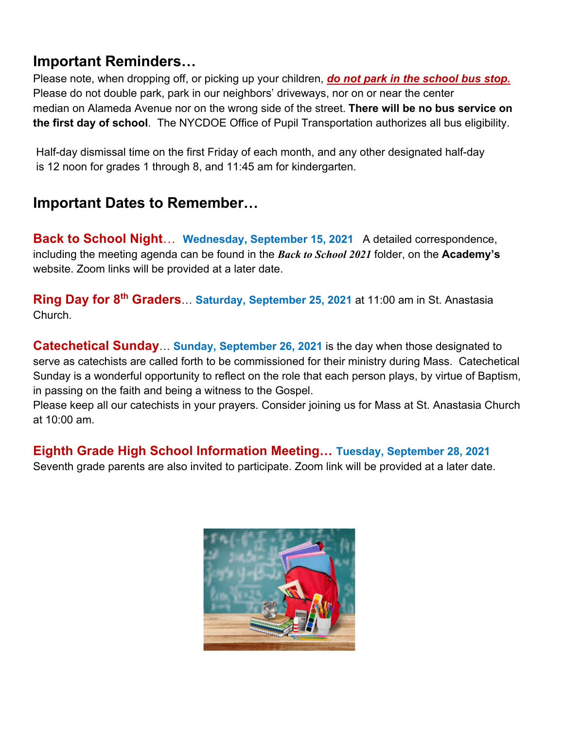### **Important Reminders…**

Please note, when dropping off, or picking up your children, *do not park in the school bus stop.* Please do not double park, park in our neighbors' driveways, nor on or near the center median on Alameda Avenue nor on the wrong side of the street. **There will be no bus service on the first day of school**. The NYCDOE Office of Pupil Transportation authorizes all bus eligibility.

Half-day dismissal time on the first Friday of each month, and any other designated half-day is 12 noon for grades 1 through 8, and 11:45 am for kindergarten.

## **Important Dates to Remember…**

**Back to School Night**… **Wednesday, September 15, 2021** A detailed correspondence, including the meeting agenda can be found in the *Back to School 2021* folder, on the **Academy's** website. Zoom links will be provided at a later date.

**Ring Day for 8th Graders**… **Saturday, September 25, 2021** at 11:00 am in St. Anastasia Church.

**Catechetical Sunday**… **Sunday, September 26, 2021** is the day when those designated to serve as catechists are called forth to be commissioned for their ministry during Mass. Catechetical Sunday is a wonderful opportunity to reflect on the role that each person plays, by virtue of Baptism, in passing on the faith and being a witness to the Gospel.

Please keep all our catechists in your prayers. Consider joining us for Mass at St. Anastasia Church at 10:00 am.

### **Eighth Grade High School Information Meeting… Tuesday, September 28, 2021**

Seventh grade parents are also invited to participate. Zoom link will be provided at a later date.